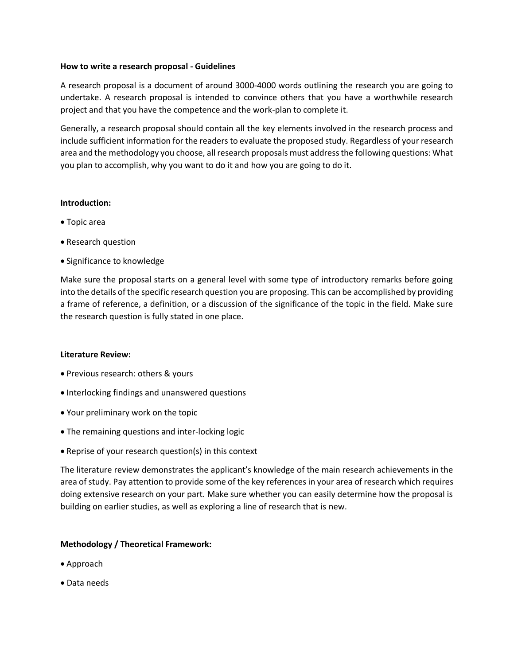### **How to write a research proposal - Guidelines**

A research proposal is a document of around 3000-4000 words outlining the research you are going to undertake. A research proposal is intended to convince others that you have a worthwhile research project and that you have the competence and the work-plan to complete it.

Generally, a research proposal should contain all the key elements involved in the research process and include sufficient information for the readers to evaluate the proposed study. Regardless of your research area and the methodology you choose, all research proposals must address the following questions: What you plan to accomplish, why you want to do it and how you are going to do it.

# **Introduction:**

- Topic area
- Research question
- Significance to knowledge

Make sure the proposal starts on a general level with some type of introductory remarks before going into the details of the specific research question you are proposing. This can be accomplished by providing a frame of reference, a definition, or a discussion of the significance of the topic in the field. Make sure the research question is fully stated in one place.

## **Literature Review:**

- Previous research: others & yours
- Interlocking findings and unanswered questions
- Your preliminary work on the topic
- The remaining questions and inter-locking logic
- Reprise of your research question(s) in this context

The literature review demonstrates the applicant's knowledge of the main research achievements in the area of study. Pay attention to provide some of the key references in your area of research which requires doing extensive research on your part. Make sure whether you can easily determine how the proposal is building on earlier studies, as well as exploring a line of research that is new.

## **Methodology / Theoretical Framework:**

- Approach
- Data needs